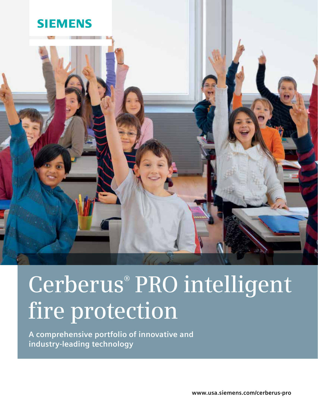

# **Cerberus® PRO intelligent fire protection**

**A comprehensive portfolio of innovative and industry-leading technology**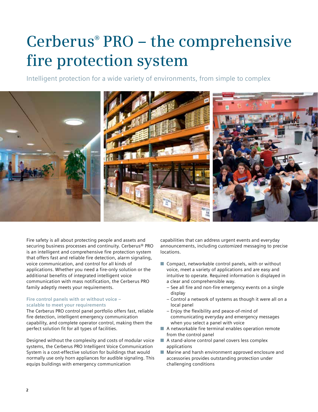# **Cerberus® PRO – the comprehensive fire protection system**

Intelligent protection for a wide variety of environments, from simple to complex



Fire safety is all about protecting people and assets and securing business processes and continuity. Cerberus® PRO is an intelligent and comprehensive fire protection system that offers fast and reliable fire detection, alarm signaling, voice communication, and control for all kinds of applications. Whether you need a fire-only solution or the additional benefits of integrated intelligent voice communication with mass notification, the Cerberus PRO family adeptly meets your requirements.

# **Fire control panels with or without voice – scalable to meet your requirements**

The Cerberus PRO control panel portfolio offers fast, reliable fire detection, intelligent emergency communication capability, and complete operator control, making them the perfect solution fit for all types of facilities.

Designed without the complexity and costs of modular voice systems, the Cerberus PRO Intelligent Voice Communication System is a cost-effective solution for buildings that would normally use only horn appliances for audible signaling. This equips buildings with emergency communication

capabilities that can address urgent events and everyday announcements, including customized messaging to precise locations.

- Compact, networkable control panels, with or without voice, meet a variety of applications and are easy and intuitive to operate. Required information is displayed in a clear and comprehensible way.
	- See all fire and non-fire emergency events on a single display
	- Control a network of systems as though it were all on a local panel
	- Enjoy the flexibility and peace-of-mind of communicating everyday and emergency messages when you select a panel with voice
- A networkable fire terminal enables operation remote from the control panel
- A stand-alone control panel covers less complex applications
- Marine and harsh environment approved enclosure and accessories provides outstanding protection under challenging conditions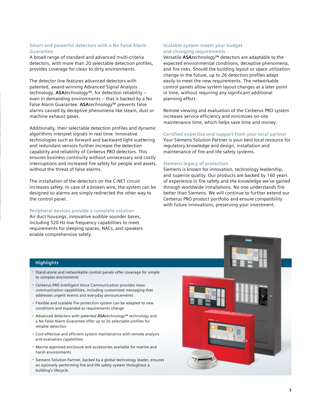### **Smart and powerful detectors with a No False Alarm Guarantee**

A broad range of standard and advanced multi-criteria detectors, with more than 20 selectable detection profiles, provides coverage for clean to dirty environments.

The detector line features advanced detectors with patented, award-winning Advanced Signal Analysis technology, **ASA***technology*™, for detection reliability – even in demanding environments – that is backed by a No False Alarm Guarantee. **ASA***technology*™ prevents false alarms caused by deceptive phenomena like steam, dust or machine exhaust gases.

Additionally, their selectable detection profiles and dynamic algorithms interpret signals in real time. Innovative technologies such as forward and backward light scattering and redundant sensors further increase the detection capability and reliability of Cerberus PRO detectors. This ensures business continuity without unnecessary and costly interruptions and increased fire safety for people and assets, without the threat of false alarms.

The installation of the detectors on the C-NET circuit increases safety. In case of a broken wire, the system can be designed so alarms are simply redirected the other way to the control panel.

### **Peripheral devices provide a complete solution**

Air duct housings, innovative audible sounder bases, including 520 Hz low frequency capabilities to meet requirements for sleeping spaces, NACs, and speakers enable comprehensive safety.

# **Scalable system meets your budget and changing requirements**

Versatile **ASA***technology*™ detectors are adaptable to the expected environmental conditions, deceptive phenomena, and fire risks. Should the building layout or space utilization change in the future, up to 26 detection profiles adapt easily to meet the new requirements. The networkable control panels allow system layout changes at a later point in time, without requiring any significant additional planning effort.

Remote viewing and evaluation of the Cerberus PRO system increases service efficiency and minimizes on-site maintenance time, which helps save time and money.

#### **Certified expertise and support from your local partner**

Your Siemens Solution Partner is your best local resource for regulatory knowledge and design, installation and maintenance of fire and life safety systems.

### **Siemens legacy of protection**

Siemens is known for innovation, technology leadership, and superior quality. Our products are backed by 160 years of experience in fire safety and the knowledge we've gained through worldwide installations. No one understands fire better than Siemens. We will continue to further extend our Cerberus PRO product portfolio and ensure compatibility with future innovations, preserving your investment.

### **Highlights**

- Stand-alone and networkable control panels offer coverage for simple to complex enviroments
- Cerberus PRO Intelligent Voice Communication provides mass communication capabilities, including customized messaging that addresses urgent events and everyday announcements
- Flexible and scalable fire protection system can be adapted to new conditions and expanded as requirements change
- Advanced detectors with patented **ASA***technology*™ technology and a No False Alarm Guarantee offer up to 26 selectable profiles for reliable detection
- Cost-effective and efficient system maintenance with remote analysis and evaluation capabilities
- Marine approved enclosure and accessories available for marine and harsh environments
- Siemens Solution Partner, backed by a global technology leader, ensures an optimally performing fire and life safety system throughout a building's lifecycle

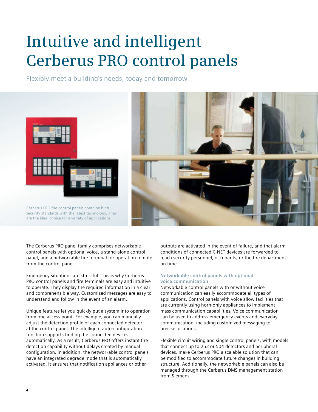# **Intuitive and intelligent Cerberus PRO control panels**

Flexibly meet a building's needs, today and tomorrow



The Cerberus PRO panel family comprises networkable control panels with optional voice, a stand-alone control panel, and a networkable fire terminal for operation remote from the control panel.

Emergency situations are stressful. This is why Cerberus PRO control panels and fire terminals are easy and intuitive to operate. They display the required information in a clear and comprehensible way. Customized messages are easy to understand and follow in the event of an alarm.

Unique features let you quickly put a system into operation from one access point. For example, you can manually adjust the detection profile of each connected detector at the control panel. The intelligent auto-configuration function supports finding the connected devices automatically. As a result, Cerberus PRO offers instant fire detection capability without delays created by manual configuration. In addition, the networkable control panels have an integrated degrade mode that is automatically activated. It ensures that notification appliances or other

outputs are activated in the event of failure, and that alarm conditions of connected C-NET devices are forwarded to reach security personnel, occupants, or the fire department on time.

### **Networkable control panels with optional voice communication**

Networkable control panels with or without voice communication can easily accommodate all types of applications. Control panels with voice allow facilities that are currently using horn-only appliances to implement mass communication capabilities. Voice communication can be used to address emergency events and everyday communication, including customized messaging to precise locations.

Flexible circuit wiring and single control panels, with models that connect up to 252 or 504 detectors and peripheral devices, make Cerberus PRO a scalable solution that can be modified to accommodate future changes in building structure. Additionally, the networkable panels can also be managed through the Cerberus DMS management station from Siemens.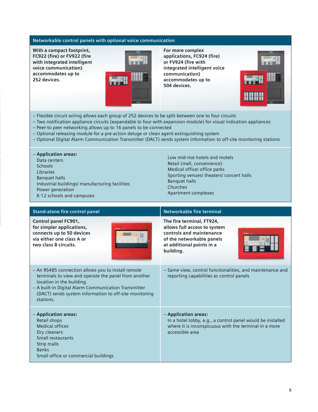# **Networkable control panels with optional voice communication**

**With a compact footprint, FC922 (fire) or FV922 (fire with integrated intelligent voice communication) accommodates up to 252 devices.**



**For more complex applications, FC924 (fire) or FV924 (fire with integrated intelligent voice communication) accommodates up to 504 devices.**



- Flexible circuit wiring allows each group of 252 devices to be split between one to four circuits
- Two notification appliance circuits (expandable to four with expansion module) for visual indication appliances
- Peer-to peer networking allows up to 16 panels to be connected
- Optional releasing module for a pre-action deluge or clean agent extinguishing system
- Optional Digital Alarm Communication Transmitter (DACT) sends system information to off-site monitoring stations

# – **Application areas:**

Data centers **Schools** Libraries Banquet halls Industrial buildings/ manufacturing facilities Power generation K-12 schools and campuses

Low mid-rise hotels and motels Retail (mall, convenience) Medical office/ office parks Sporting venues/ theaters/ concert halls Banquet halls Churches Apartment complexes

| <b>Stand-alone fire control panel</b>                                                                                                                                                                                                                                  | Networkable fire terminal                                                                                                                                      |
|------------------------------------------------------------------------------------------------------------------------------------------------------------------------------------------------------------------------------------------------------------------------|----------------------------------------------------------------------------------------------------------------------------------------------------------------|
| Control panel FC901,<br>for simpler applications,<br>connects up to 50 devices<br>via either one class A or<br>two class B circuits.                                                                                                                                   | The fire terminal, FT924,<br>allows full access to system<br>controls and maintenance<br>of the networkable panels<br>at additional points in a<br>building.   |
| - An RS485 connection allows you to install remote<br>terminals to view and operate the panel from another<br>location in the building.<br>- A built-in Digital Alarm Communication Transmitter<br>(DACT) sends system information to off-site monitoring<br>stations. | - Same view, control functionalities, and maintenance and<br>reporting capabilities as control panels                                                          |
| - Application areas:<br>Retail shops<br><b>Medical offices</b><br>Dry cleaners<br>Small restaurants<br>Strip malls<br><b>Banks</b><br>Small office or commercial buildings                                                                                             | - Application areas:<br>In a hotel lobby, e.g., a control panel would be installed<br>where it is inconspicuous with the terminal in a more<br>accessible area |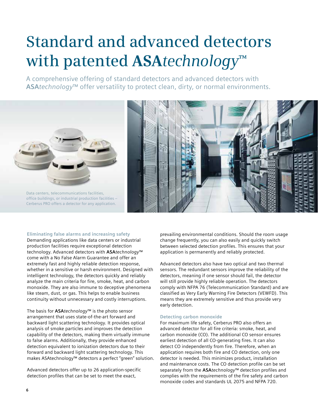# **Standard and advanced detectors with patented ASA***technology***™**

A comprehensive offering of standard detectors and advanced detectors with **ASA***technology*™ offer versatility to protect clean, dirty, or normal environments.



Data centers, telecommunications facilities, office buildings, or industrial production facilities – Cerberus PRO offers a detector for any application.



### **Eliminating false alarms and increasing safety**

Demanding applications like data centers or industrial production facilities require exceptional detection technology. Advanced detectors with **ASA***technology*™ come with a No False Alarm Guarantee and offer an extremely fast and highly reliable detection response, whether in a sensitive or harsh environment. Designed with intelligent technology, the detectors quickly and reliably analyze the main criteria for fire, smoke, heat, and carbon monoxide. They are also immune to deceptive phenomena like steam, dust, or gas. This helps to enable business continuity without unnecessary and costly interruptions.

The basis for **ASA***technology*™ is the photo sensor arrangement that uses state-of-the-art forward and backward light scattering technology. It provides optical analysis of smoke particles and improves the detection capability of the detectors, making them virtually immune to false alarms. Additionally, they provide enhanced detection equivalent to ionization detectors due to their forward and backward light scattering technology. This makes ASAtechnology™ detectors a perfect "green" solution.

Advanced detectors offer up to 26 application-specific detection profiles that can be set to meet the exact,

prevailing environmental conditions. Should the room usage change frequently, you can also easily and quickly switch between selected detection profiles. This ensures that your application is permanently and reliably protected.

Advanced detectors also have two optical and two thermal sensors. The redundant sensors improve the reliability of the detectors, meaning if one sensor should fail, the detector will still provide highly reliable operation. The detectors comply with NFPA 76 (Telecommunication Standard) and are classified as Very Early Warning Fire Detectors (VEWFD). This means they are extremely sensitive and thus provide very early detection.

#### **Detecting carbon monoxide**

For maximum life safety, Cerberus PRO also offers an advanced detector for all fire criteria: smoke, heat, and carbon monoxide (CO). The additional CO sensor ensures earliest detection of all CO-generating fires. It can also detect CO independently from fire. Therefore, when an application requires both fire and CO detection, only one detector is needed. This minimizes product, installation and maintenance costs. The CO detection profile can be set separately from the **ASA***technology*™ detection profiles and complies with the requirements of the fire safety and carbon monoxide codes and standards UL 2075 and NFPA 720.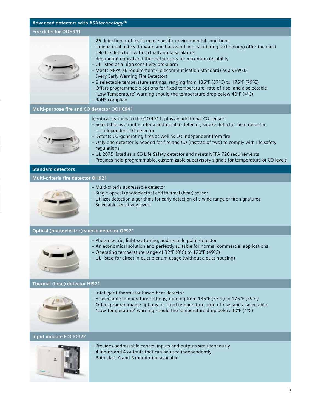# **Advanced detectors with ASA***technology***™**

# **Fire detector OOH941**

- 26 detection profiles to meet specific environmental conditions
	- Unique dual optics (forward and backward light scattering technology) offer the most reliable detection with virtually no false alarms
	- Redundant optical and thermal sensors for maximum reliability
	- UL listed as a high sensitivity pre-alarm
	- Meets NFPA 76 requirement (Telecommunication Standard) as a VEWFD (Very Early Warning Fire Detector)
	- 8 selectable temperature settings, ranging from 135°F (57°C) to 175°F (79°C)
	- Offers programmable options for fixed temperature, rate-of-rise, and a selectable "Low Temperature" warning should the temperature drop below 40°F (4°C)
	- RoHS complian

# **Multi-purpose fire and CO detector OOHC941**

Identical features to the OOH941, plus an additional CO sensor:

- Selectable as a multi-criteria addressable detector, smoke detector, heat detector, or independent CO detector
	- Detects CO-generating fires as well as CO independent from fire
	- Only one detector is needed for fire and CO (instead of two) to comply with life safety regulations
	- UL 2075 listed as a CO Life Safety detector and meets NFPA 720 requirements
	- Provides field programmable, customizable supervisory signals for temperature or CO levels

# **Standard detectors**

### **Multi-criteria fire detector OH921**



- Multi-criteria addressable detector
- Single optical (photoelectric) and thermal (heat) sensor
- Utilizes detection algorithms for early detection of a wide range of fire signatures
- Selectable sensitivity levels

# **Optical (photoelectric) smoke detector OP921**



- Photoelectric, light-scattering, addressable point detector
- An economical solution and perfectly suitable for normal commercial applications
- Operating temperature range of 32°F (0°C) to 120°F (49°C)
- UL listed for direct in-duct plenum usage (without a duct housing)

### **Thermal (heat) detector HI921**



- Intelligent thermistor-based heat detector
- 8 selectable temperature settings, ranging from 135°F (57°C) to 175°F (79°C)
- Offers programmable options for fixed temperature, rate-of-rise, and a selectable
- "Low Temperature" warning should the temperature drop below  $40^{\circ}F(4^{\circ}C)$

### **Input module FDCIO422**



- Provides addressable control inputs and outputs simultaneously
- 4 inputs and 4 outputs that can be used independently
- Both class A and B monitoring available